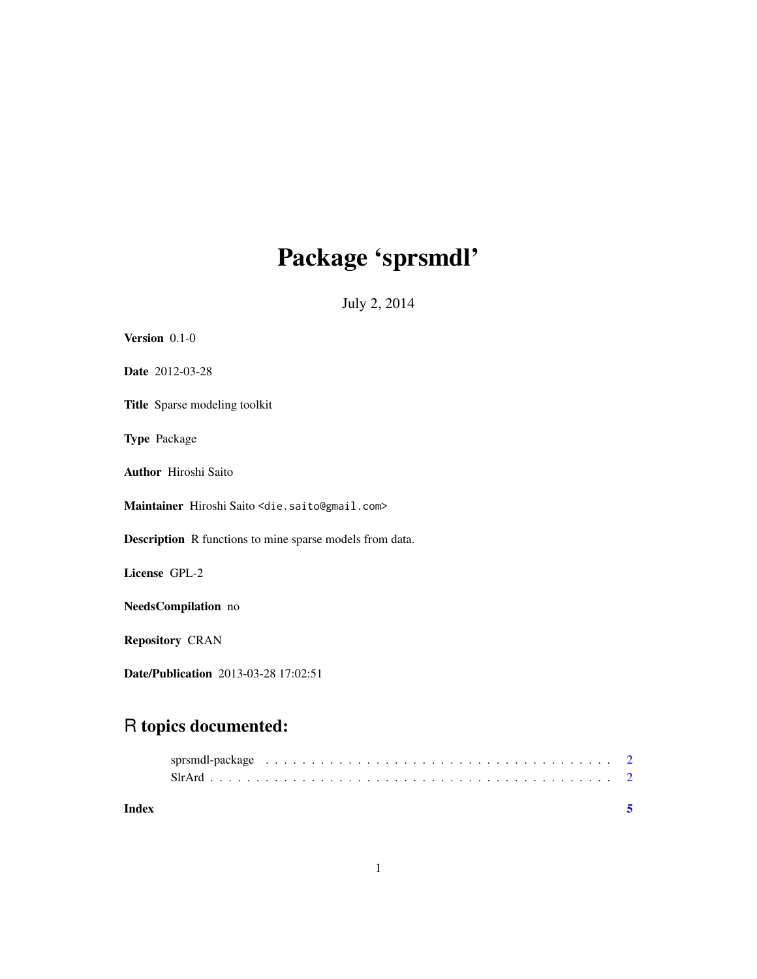# Package 'sprsmdl'

July 2, 2014

| Version $0.1-0$                                                      |
|----------------------------------------------------------------------|
| Date 2012-03-28                                                      |
| <b>Title</b> Sparse modeling toolkit                                 |
| <b>Type Package</b>                                                  |
| <b>Author</b> Hiroshi Saito                                          |
| Maintainer Hiroshi Saito <die.saito@gmail.com></die.saito@gmail.com> |
| <b>Description</b> R functions to mine sparse models from data.      |
| License GPL-2                                                        |
| NeedsCompilation no                                                  |
| <b>Repository CRAN</b>                                               |
| <b>Date/Publication</b> 2013-03-28 17:02:51                          |

# R topics documented:

| Index |  |  |
|-------|--|--|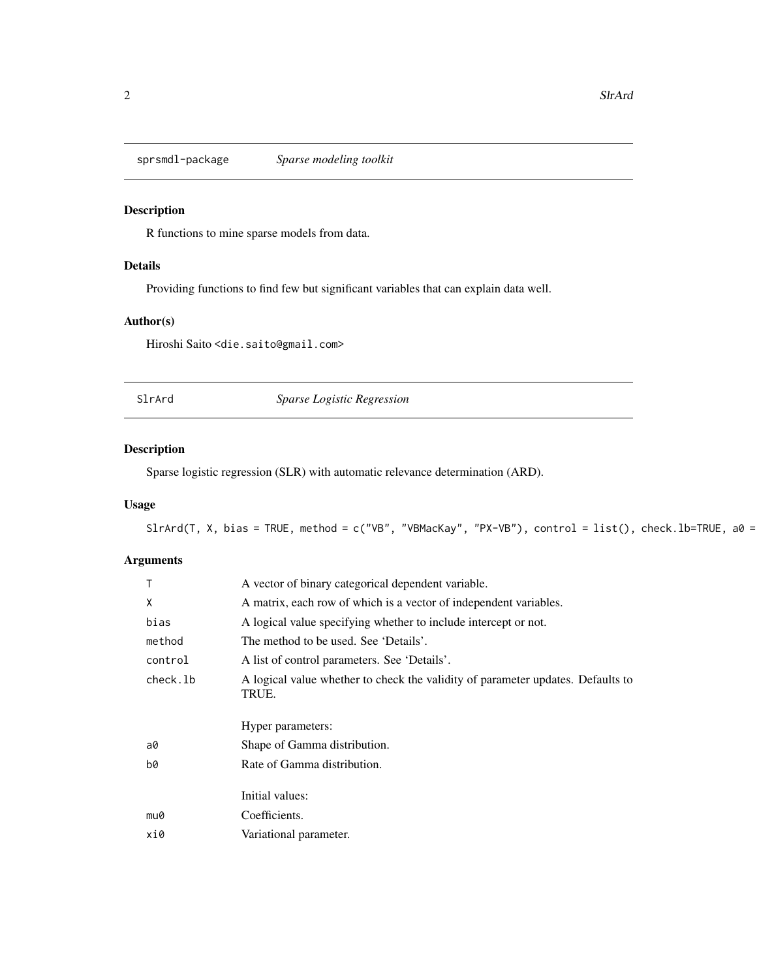<span id="page-1-0"></span>

# Description

R functions to mine sparse models from data.

# Details

Providing functions to find few but significant variables that can explain data well.

## Author(s)

Hiroshi Saito <die.saito@gmail.com>

SlrArd *Sparse Logistic Regression*

# Description

Sparse logistic regression (SLR) with automatic relevance determination (ARD).

# Usage

```
SlrArd(T, X, bias = TRUE, method = c("VB", "VBMacKay", "PX-VB"), control = list(), check.lb=TRUE, a0 =
```
## Arguments

| A vector of binary categorical dependent variable.                                       |
|------------------------------------------------------------------------------------------|
| A matrix, each row of which is a vector of independent variables.                        |
| A logical value specifying whether to include intercept or not.                          |
| The method to be used. See 'Details'.                                                    |
| A list of control parameters. See 'Details'.                                             |
| A logical value whether to check the validity of parameter updates. Defaults to<br>TRUE. |
|                                                                                          |
| Hyper parameters:                                                                        |
| Shape of Gamma distribution.                                                             |
| Rate of Gamma distribution.                                                              |
| Initial values:                                                                          |
| Coefficients.                                                                            |
|                                                                                          |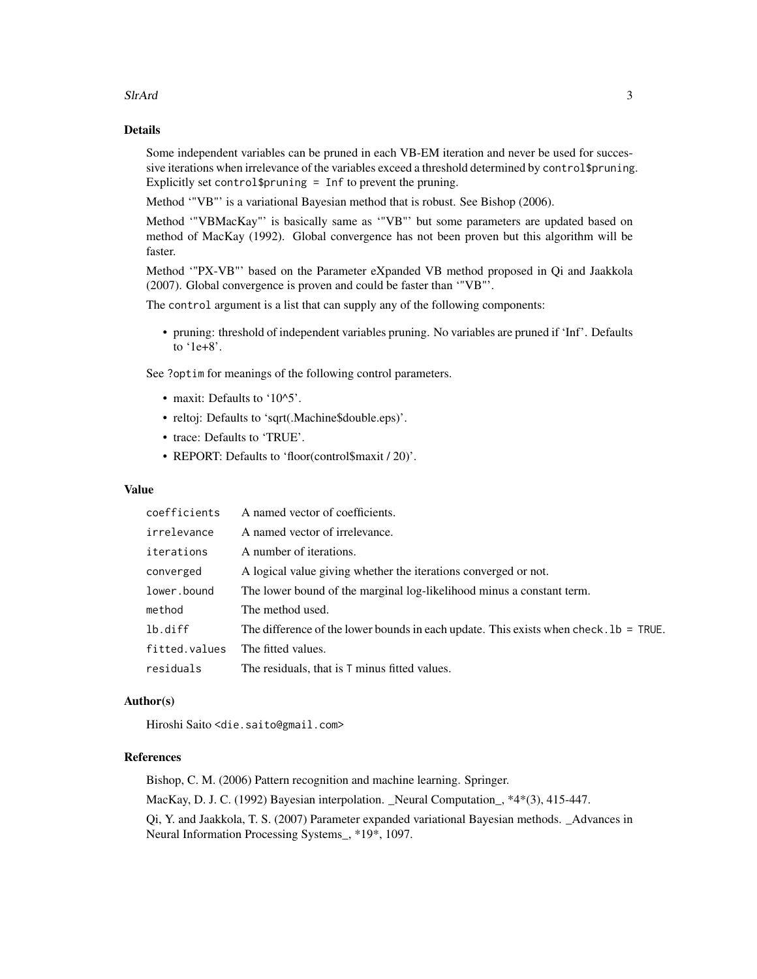#### SIrArd 3

#### Details

Some independent variables can be pruned in each VB-EM iteration and never be used for successive iterations when irrelevance of the variables exceed a threshold determined by control\$pruning. Explicitly set control\$pruning = Inf to prevent the pruning.

Method '"VB"' is a variational Bayesian method that is robust. See Bishop (2006).

Method '"VBMacKay"' is basically same as '"VB"' but some parameters are updated based on method of MacKay (1992). Global convergence has not been proven but this algorithm will be faster.

Method '"PX-VB"' based on the Parameter eXpanded VB method proposed in Qi and Jaakkola (2007). Global convergence is proven and could be faster than '"VB"'.

The control argument is a list that can supply any of the following components:

• pruning: threshold of independent variables pruning. No variables are pruned if 'Inf'. Defaults to '1e+8'.

See ?optim for meanings of the following control parameters.

- maxit: Defaults to '10^5'.
- reltoj: Defaults to 'sqrt(.Machine\$double.eps)'.
- trace: Defaults to 'TRUE'.
- REPORT: Defaults to 'floor(control\$maxit / 20)'.

#### Value

| coefficients  | A named vector of coefficients.                                                          |
|---------------|------------------------------------------------------------------------------------------|
| irrelevance   | A named vector of irrelevance.                                                           |
| iterations    | A number of iterations.                                                                  |
| converged     | A logical value giving whether the iterations converged or not.                          |
| lower.bound   | The lower bound of the marginal log-likelihood minus a constant term.                    |
| method        | The method used.                                                                         |
| lb.diff       | The difference of the lower bounds in each update. This exists when check. $1b = TRUE$ . |
| fitted.values | The fitted values.                                                                       |
| residuals     | The residuals, that is T minus fitted values.                                            |

#### Author(s)

Hiroshi Saito <die.saito@gmail.com>

## References

Bishop, C. M. (2006) Pattern recognition and machine learning. Springer. MacKay, D. J. C. (1992) Bayesian interpolation. \_Neural Computation\_,  $*4*(3)$ , 415-447. Qi, Y. and Jaakkola, T. S. (2007) Parameter expanded variational Bayesian methods. \_Advances in Neural Information Processing Systems\_, \*19\*, 1097.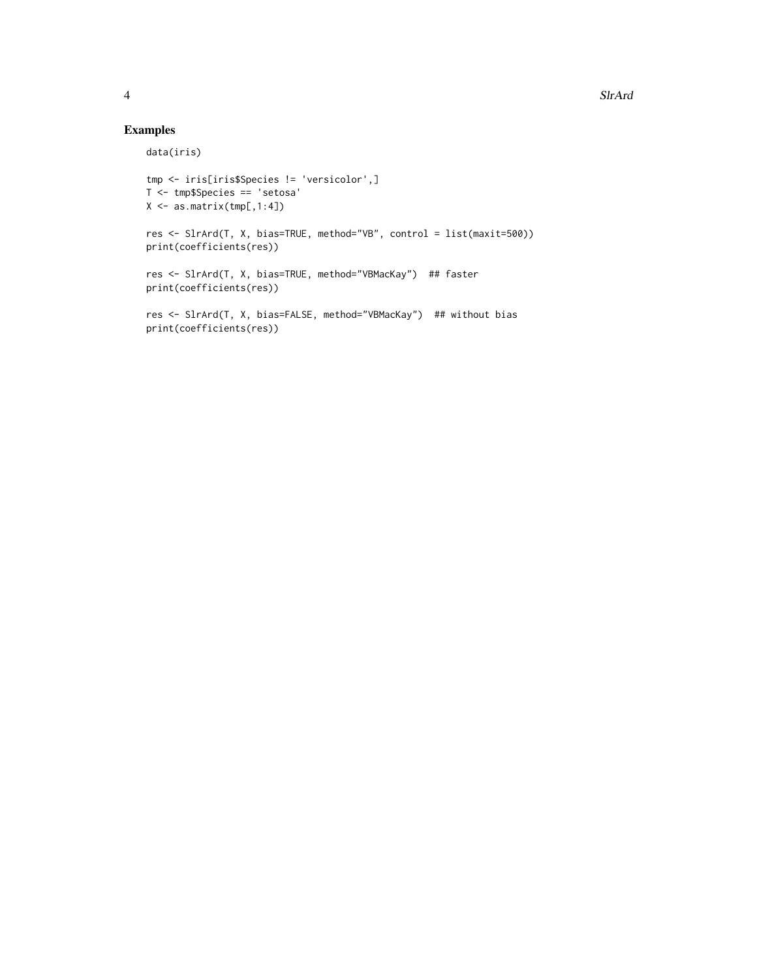# Examples

```
data(iris)
```

```
tmp <- iris[iris$Species != 'versicolor',]
T <- tmp$Species == 'setosa'
X <- as.matrix(tmp[,1:4])
res <- SlrArd(T, X, bias=TRUE, method="VB", control = list(maxit=500))
print(coefficients(res))
res <- SlrArd(T, X, bias=TRUE, method="VBMacKay") ## faster
print(coefficients(res))
res <- SlrArd(T, X, bias=FALSE, method="VBMacKay") ## without bias
print(coefficients(res))
```